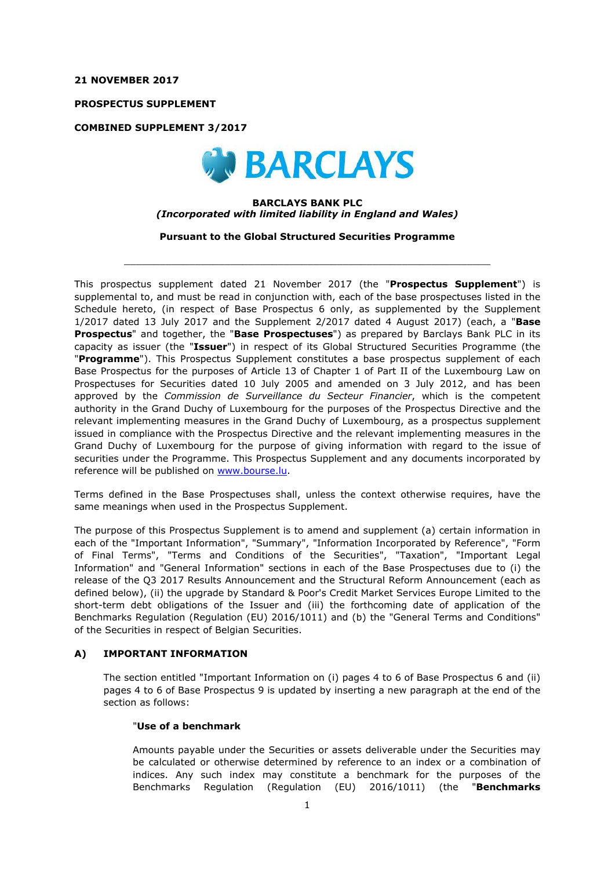**21 NOVEMBER 2017**

**PROSPECTUS SUPPLEMENT**

**COMBINED SUPPLEMENT 3/2017**



## **BARCLAYS BANK PLC** *(Incorporated with limited liability in England and Wales)*

**Pursuant to the Global Structured Securities Programme**

 $\_$  ,  $\_$  ,  $\_$  ,  $\_$  ,  $\_$  ,  $\_$  ,  $\_$  ,  $\_$  ,  $\_$  ,  $\_$  ,  $\_$  ,  $\_$  ,  $\_$  ,  $\_$  ,  $\_$  ,  $\_$  ,  $\_$  ,  $\_$  ,  $\_$  ,  $\_$  ,  $\_$  ,  $\_$  ,  $\_$  ,  $\_$  ,  $\_$  ,  $\_$  ,  $\_$  ,  $\_$  ,  $\_$  ,  $\_$  ,  $\_$  ,  $\_$  ,  $\_$  ,  $\_$  ,  $\_$  ,  $\_$  ,  $\_$  ,

This prospectus supplement dated 21 November 2017 (the "**Prospectus Supplement**") is supplemental to, and must be read in conjunction with, each of the base prospectuses listed in the Schedule hereto, (in respect of Base Prospectus 6 only, as supplemented by the Supplement 1/2017 dated 13 July 2017 and the Supplement 2/2017 dated 4 August 2017) (each, a "**Base Prospectus**" and together, the "**Base Prospectuses**") as prepared by Barclays Bank PLC in its capacity as issuer (the "**Issuer**") in respect of its Global Structured Securities Programme (the "**Programme**"). This Prospectus Supplement constitutes a base prospectus supplement of each Base Prospectus for the purposes of Article 13 of Chapter 1 of Part II of the Luxembourg Law on Prospectuses for Securities dated 10 July 2005 and amended on 3 July 2012, and has been approved by the *Commission de Surveillance du Secteur Financier*, which is the competent authority in the Grand Duchy of Luxembourg for the purposes of the Prospectus Directive and the relevant implementing measures in the Grand Duchy of Luxembourg, as a prospectus supplement issued in compliance with the Prospectus Directive and the relevant implementing measures in the Grand Duchy of Luxembourg for the purpose of giving information with regard to the issue of securities under the Programme. This Prospectus Supplement and any documents incorporated by reference will be published on www.bourse.lu.

Terms defined in the Base Prospectuses shall, unless the context otherwise requires, have the same meanings when used in the Prospectus Supplement.

The purpose of this Prospectus Supplement is to amend and supplement (a) certain information in each of the "Important Information", "Summary", "Information Incorporated by Reference", "Form of Final Terms", "Terms and Conditions of the Securities", "Taxation", "Important Legal Information" and "General Information" sections in each of the Base Prospectuses due to (i) the release of the Q3 2017 Results Announcement and the Structural Reform Announcement (each as defined below), (ii) the upgrade by Standard & Poor's Credit Market Services Europe Limited to the short-term debt obligations of the Issuer and (iii) the forthcoming date of application of the Benchmarks Regulation (Regulation (EU) 2016/1011) and (b) the "General Terms and Conditions" of the Securities in respect of Belgian Securities.

#### **A) IMPORTANT INFORMATION**

The section entitled "Important Information on (i) pages 4 to 6 of Base Prospectus 6 and (ii) pages 4 to 6 of Base Prospectus 9 is updated by inserting a new paragraph at the end of the section as follows:

#### "**Use of a benchmark**

Amounts payable under the Securities or assets deliverable under the Securities may be calculated or otherwise determined by reference to an index or a combination of indices. Any such index may constitute a benchmark for the purposes of the Benchmarks Regulation (Regulation (EU) 2016/1011) (the "**Benchmarks**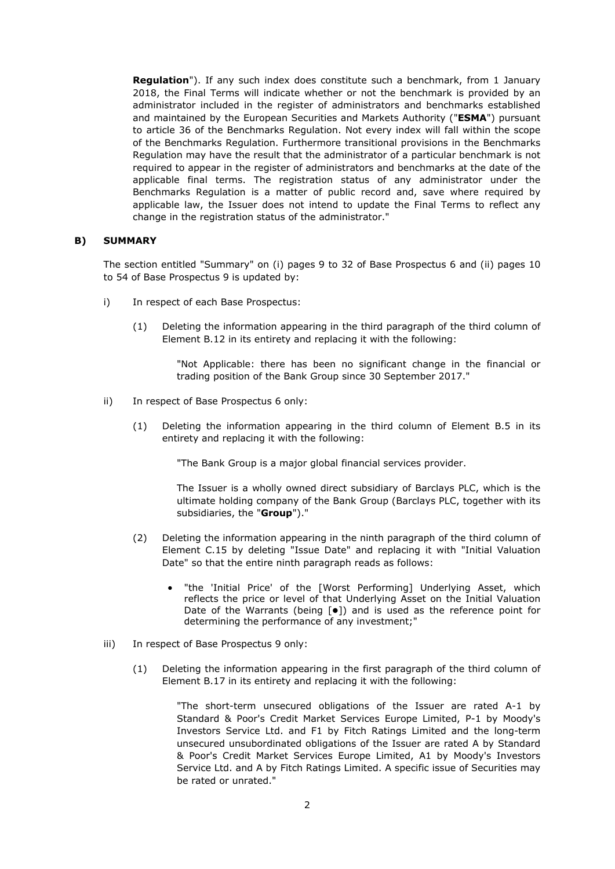**Regulation**"). If any such index does constitute such a benchmark, from 1 January 2018, the Final Terms will indicate whether or not the benchmark is provided by an administrator included in the register of administrators and benchmarks established and maintained by the European Securities and Markets Authority ("**ESMA**") pursuant to article 36 of the Benchmarks Regulation. Not every index will fall within the scope of the Benchmarks Regulation. Furthermore transitional provisions in the Benchmarks Regulation may have the result that the administrator of a particular benchmark is not required to appear in the register of administrators and benchmarks at the date of the applicable final terms. The registration status of any administrator under the Benchmarks Regulation is a matter of public record and, save where required by applicable law, the Issuer does not intend to update the Final Terms to reflect any change in the registration status of the administrator."

## **B) SUMMARY**

The section entitled "Summary" on (i) pages 9 to 32 of Base Prospectus 6 and (ii) pages 10 to 54 of Base Prospectus 9 is updated by:

- i) In respect of each Base Prospectus:
	- (1) Deleting the information appearing in the third paragraph of the third column of Element B.12 in its entirety and replacing it with the following:

"Not Applicable: there has been no significant change in the financial or trading position of the Bank Group since 30 September 2017."

- ii) In respect of Base Prospectus 6 only:
	- (1) Deleting the information appearing in the third column of Element B.5 in its entirety and replacing it with the following:

"The Bank Group is a major global financial services provider.

The Issuer is a wholly owned direct subsidiary of Barclays PLC, which is the ultimate holding company of the Bank Group (Barclays PLC, together with its subsidiaries, the "**Group**")."

- (2) Deleting the information appearing in the ninth paragraph of the third column of Element C.15 by deleting "Issue Date" and replacing it with "Initial Valuation Date" so that the entire ninth paragraph reads as follows:
	- "the 'Initial Price' of the [Worst Performing] Underlying Asset, which reflects the price or level of that Underlying Asset on the Initial Valuation Date of the Warrants (being  $\lceil \bullet \rceil$ ) and is used as the reference point for determining the performance of any investment;"
- iii) In respect of Base Prospectus 9 only:
	- (1) Deleting the information appearing in the first paragraph of the third column of Element B.17 in its entirety and replacing it with the following:

"The short-term unsecured obligations of the Issuer are rated A-1 by Standard & Poor's Credit Market Services Europe Limited, P-1 by Moody's Investors Service Ltd. and F1 by Fitch Ratings Limited and the long-term unsecured unsubordinated obligations of the Issuer are rated A by Standard & Poor's Credit Market Services Europe Limited, A1 by Moody's Investors Service Ltd. and A by Fitch Ratings Limited. A specific issue of Securities may be rated or unrated."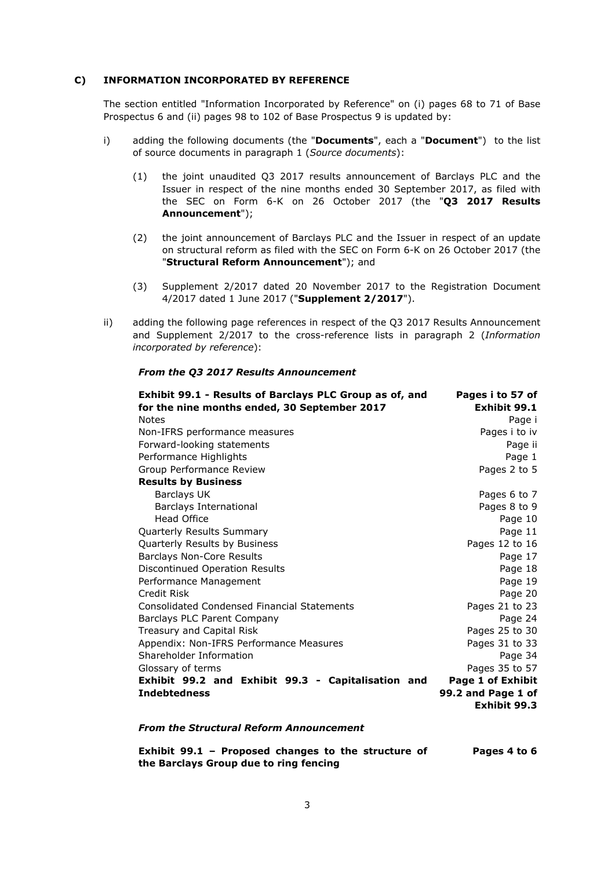## **C) INFORMATION INCORPORATED BY REFERENCE**

The section entitled "Information Incorporated by Reference" on (i) pages 68 to 71 of Base Prospectus 6 and (ii) pages 98 to 102 of Base Prospectus 9 is updated by:

- i) adding the following documents (the "**Documents**", each a "**Document**") to the list of source documents in paragraph 1 (*Source documents*):
	- (1) the joint unaudited Q3 2017 results announcement of Barclays PLC and the Issuer in respect of the nine months ended 30 September 2017, as filed with the SEC on Form 6-K on 26 October 2017 (the "**Q3 2017 Results Announcement**");
	- (2) the joint announcement of Barclays PLC and the Issuer in respect of an update on structural reform as filed with the SEC on Form 6-K on 26 October 2017 (the "**Structural Reform Announcement**"); and
	- (3) Supplement 2/2017 dated 20 November 2017 to the Registration Document 4/2017 dated 1 June 2017 ("**Supplement 2/2017**").
- ii) adding the following page references in respect of the Q3 2017 Results Announcement and Supplement 2/2017 to the cross-reference lists in paragraph 2 (*Information incorporated by reference*):

| Exhibit 99.1 - Results of Barclays PLC Group as of, and | Pages i to 57 of   |
|---------------------------------------------------------|--------------------|
| for the nine months ended, 30 September 2017            | Exhibit 99.1       |
| <b>Notes</b>                                            | Page i             |
| Non-IFRS performance measures                           | Pages i to iv      |
| Forward-looking statements                              | Page ii            |
| Performance Highlights                                  | Page 1             |
| Group Performance Review                                | Pages 2 to 5       |
| <b>Results by Business</b>                              |                    |
| Barclays UK                                             | Pages 6 to 7       |
| Barclays International                                  | Pages 8 to 9       |
| Head Office                                             | Page 10            |
| Quarterly Results Summary                               | Page 11            |
| Quarterly Results by Business                           | Pages 12 to 16     |
| <b>Barclays Non-Core Results</b>                        | Page 17            |
| Discontinued Operation Results                          | Page 18            |
| Performance Management                                  | Page 19            |
| Credit Risk                                             | Page 20            |
| <b>Consolidated Condensed Financial Statements</b>      | Pages 21 to 23     |
| Barclays PLC Parent Company                             | Page 24            |
| Treasury and Capital Risk                               | Pages 25 to 30     |
| Appendix: Non-IFRS Performance Measures                 | Pages 31 to 33     |
| Shareholder Information                                 | Page 34            |
| Glossary of terms                                       | Pages 35 to 57     |
| Exhibit 99.2 and Exhibit 99.3 - Capitalisation and      | Page 1 of Exhibit  |
| <b>Indebtedness</b>                                     | 99.2 and Page 1 of |
|                                                         | Exhibit 99.3       |

#### *From the Q3 2017 Results Announcement*

*From the Structural Reform Announcement*

**Exhibit 99.1 – Proposed changes to the structure of the Barclays Group due to ring fencing Pages 4 to 6**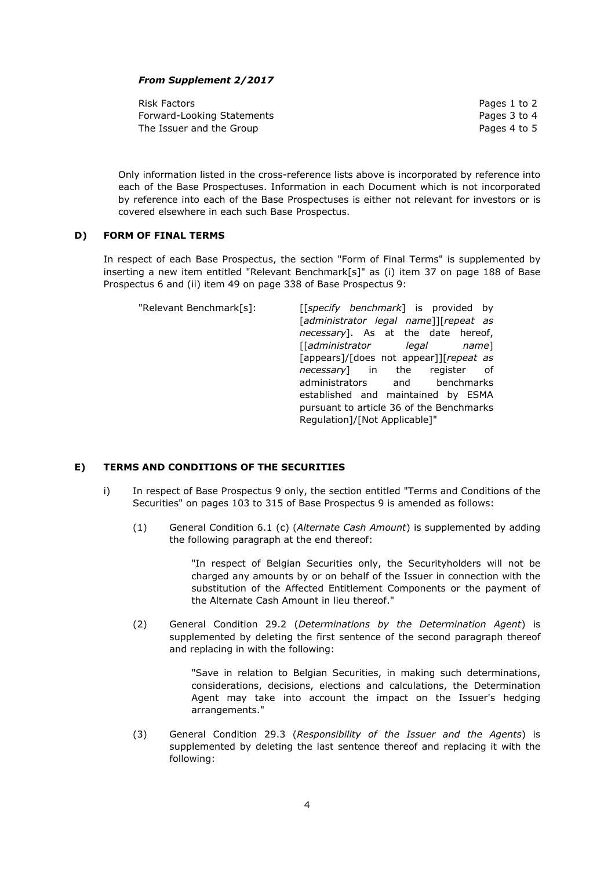# *From Supplement 2/2017*

Risk Factors **Pages 1 to 2** Forward-Looking Statements **Pages 3** to 4 The Issuer and the Group **Pages 4 to 5** 

Only information listed in the cross-reference lists above is incorporated by reference into each of the Base Prospectuses. Information in each Document which is not incorporated by reference into each of the Base Prospectuses is either not relevant for investors or is covered elsewhere in each such Base Prospectus.

## **D) FORM OF FINAL TERMS**

In respect of each Base Prospectus, the section "Form of Final Terms" is supplemented by inserting a new item entitled "Relevant Benchmark[s]" as (i) item 37 on page 188 of Base Prospectus 6 and (ii) item 49 on page 338 of Base Prospectus 9:

| "Relevant Benchmark[s]: | [[specify benchmark] is provided by      |
|-------------------------|------------------------------------------|
|                         | [administrator legal name]][repeat as    |
|                         | necessary]. As at the date hereof,       |
|                         | [[administrator legal name]              |
|                         | [appears]/[does not appear]][repeat as   |
|                         | <i>necessary</i> ] in the register of    |
|                         | administrators and benchmarks            |
|                         | established and maintained by ESMA       |
|                         | pursuant to article 36 of the Benchmarks |
|                         | Regulation]/[Not Applicable]"            |
|                         |                                          |

## **E) TERMS AND CONDITIONS OF THE SECURITIES**

- i) In respect of Base Prospectus 9 only, the section entitled "Terms and Conditions of the Securities" on pages 103 to 315 of Base Prospectus 9 is amended as follows:
	- (1) General Condition 6.1 (c) (*Alternate Cash Amount*) is supplemented by adding the following paragraph at the end thereof:

"In respect of Belgian Securities only, the Securityholders will not be charged any amounts by or on behalf of the Issuer in connection with the substitution of the Affected Entitlement Components or the payment of the Alternate Cash Amount in lieu thereof."

(2) General Condition 29.2 (*Determinations by the Determination Agent*) is supplemented by deleting the first sentence of the second paragraph thereof and replacing in with the following:

> "Save in relation to Belgian Securities, in making such determinations, considerations, decisions, elections and calculations, the Determination Agent may take into account the impact on the Issuer's hedging arrangements."

(3) General Condition 29.3 (*Responsibility of the Issuer and the Agents*) is supplemented by deleting the last sentence thereof and replacing it with the following: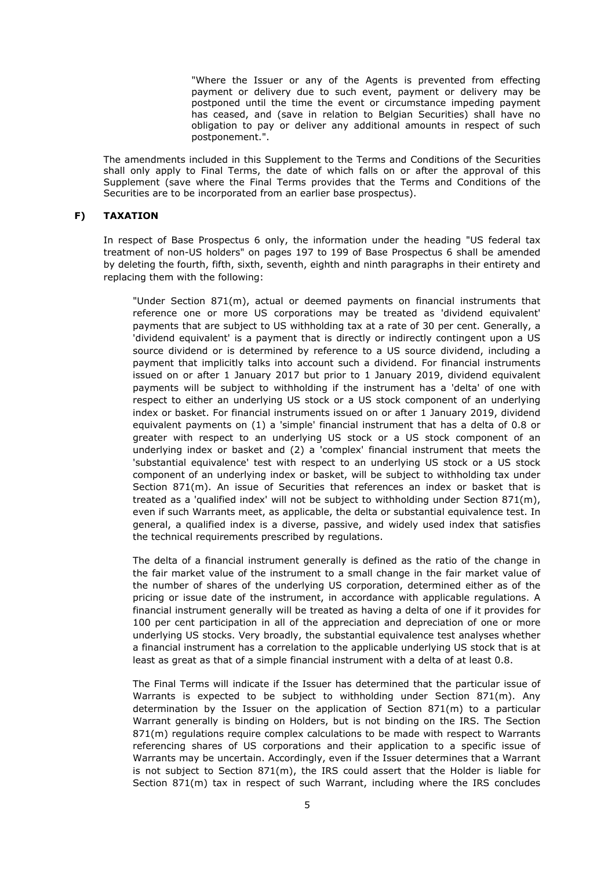"Where the Issuer or any of the Agents is prevented from effecting payment or delivery due to such event, payment or delivery may be postponed until the time the event or circumstance impeding payment has ceased, and (save in relation to Belgian Securities) shall have no obligation to pay or deliver any additional amounts in respect of such postponement.".

The amendments included in this Supplement to the Terms and Conditions of the Securities shall only apply to Final Terms, the date of which falls on or after the approval of this Supplement (save where the Final Terms provides that the Terms and Conditions of the Securities are to be incorporated from an earlier base prospectus).

## **F) TAXATION**

In respect of Base Prospectus 6 only, the information under the heading "US federal tax treatment of non-US holders" on pages 197 to 199 of Base Prospectus 6 shall be amended by deleting the fourth, fifth, sixth, seventh, eighth and ninth paragraphs in their entirety and replacing them with the following:

"Under Section 871(m), actual or deemed payments on financial instruments that reference one or more US corporations may be treated as 'dividend equivalent' payments that are subject to US withholding tax at a rate of 30 per cent. Generally, a 'dividend equivalent' is a payment that is directly or indirectly contingent upon a US source dividend or is determined by reference to a US source dividend, including a payment that implicitly talks into account such a dividend. For financial instruments issued on or after 1 January 2017 but prior to 1 January 2019, dividend equivalent payments will be subject to withholding if the instrument has a 'delta' of one with respect to either an underlying US stock or a US stock component of an underlying index or basket. For financial instruments issued on or after 1 January 2019, dividend equivalent payments on (1) a 'simple' financial instrument that has a delta of 0.8 or greater with respect to an underlying US stock or a US stock component of an underlying index or basket and (2) a 'complex' financial instrument that meets the 'substantial equivalence' test with respect to an underlying US stock or a US stock component of an underlying index or basket, will be subject to withholding tax under Section 871(m). An issue of Securities that references an index or basket that is treated as a 'qualified index' will not be subject to withholding under Section 871(m), even if such Warrants meet, as applicable, the delta or substantial equivalence test. In general, a qualified index is a diverse, passive, and widely used index that satisfies the technical requirements prescribed by regulations.

The delta of a financial instrument generally is defined as the ratio of the change in the fair market value of the instrument to a small change in the fair market value of the number of shares of the underlying US corporation, determined either as of the pricing or issue date of the instrument, in accordance with applicable regulations. A financial instrument generally will be treated as having a delta of one if it provides for 100 per cent participation in all of the appreciation and depreciation of one or more underlying US stocks. Very broadly, the substantial equivalence test analyses whether a financial instrument has a correlation to the applicable underlying US stock that is at least as great as that of a simple financial instrument with a delta of at least 0.8.

The Final Terms will indicate if the Issuer has determined that the particular issue of Warrants is expected to be subject to withholding under Section 871(m). Any determination by the Issuer on the application of Section 871(m) to a particular Warrant generally is binding on Holders, but is not binding on the IRS. The Section 871(m) regulations require complex calculations to be made with respect to Warrants referencing shares of US corporations and their application to a specific issue of Warrants may be uncertain. Accordingly, even if the Issuer determines that a Warrant is not subject to Section 871(m), the IRS could assert that the Holder is liable for Section 871(m) tax in respect of such Warrant, including where the IRS concludes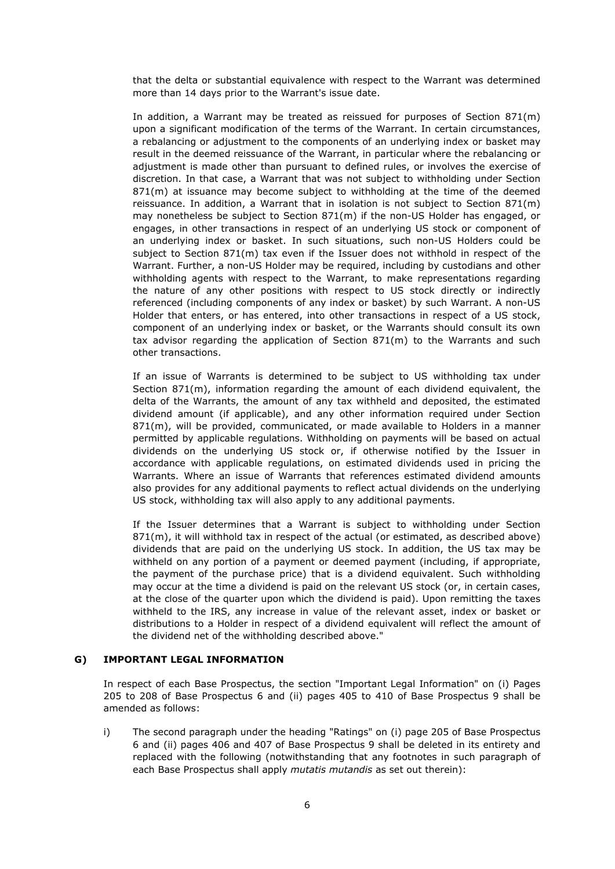that the delta or substantial equivalence with respect to the Warrant was determined more than 14 days prior to the Warrant's issue date.

In addition, a Warrant may be treated as reissued for purposes of Section 871(m) upon a significant modification of the terms of the Warrant. In certain circumstances, a rebalancing or adjustment to the components of an underlying index or basket may result in the deemed reissuance of the Warrant, in particular where the rebalancing or adjustment is made other than pursuant to defined rules, or involves the exercise of discretion. In that case, a Warrant that was not subject to withholding under Section 871(m) at issuance may become subject to withholding at the time of the deemed reissuance. In addition, a Warrant that in isolation is not subject to Section 871(m) may nonetheless be subject to Section 871(m) if the non-US Holder has engaged, or engages, in other transactions in respect of an underlying US stock or component of an underlying index or basket. In such situations, such non-US Holders could be subject to Section 871(m) tax even if the Issuer does not withhold in respect of the Warrant. Further, a non-US Holder may be required, including by custodians and other withholding agents with respect to the Warrant, to make representations regarding the nature of any other positions with respect to US stock directly or indirectly referenced (including components of any index or basket) by such Warrant. A non-US Holder that enters, or has entered, into other transactions in respect of a US stock, component of an underlying index or basket, or the Warrants should consult its own tax advisor regarding the application of Section 871(m) to the Warrants and such other transactions.

If an issue of Warrants is determined to be subject to US withholding tax under Section 871(m), information regarding the amount of each dividend equivalent, the delta of the Warrants, the amount of any tax withheld and deposited, the estimated dividend amount (if applicable), and any other information required under Section 871(m), will be provided, communicated, or made available to Holders in a manner permitted by applicable regulations. Withholding on payments will be based on actual dividends on the underlying US stock or, if otherwise notified by the Issuer in accordance with applicable regulations, on estimated dividends used in pricing the Warrants. Where an issue of Warrants that references estimated dividend amounts also provides for any additional payments to reflect actual dividends on the underlying US stock, withholding tax will also apply to any additional payments.

If the Issuer determines that a Warrant is subject to withholding under Section 871(m), it will withhold tax in respect of the actual (or estimated, as described above) dividends that are paid on the underlying US stock. In addition, the US tax may be withheld on any portion of a payment or deemed payment (including, if appropriate, the payment of the purchase price) that is a dividend equivalent. Such withholding may occur at the time a dividend is paid on the relevant US stock (or, in certain cases, at the close of the quarter upon which the dividend is paid). Upon remitting the taxes withheld to the IRS, any increase in value of the relevant asset, index or basket or distributions to a Holder in respect of a dividend equivalent will reflect the amount of the dividend net of the withholding described above."

## **G) IMPORTANT LEGAL INFORMATION**

In respect of each Base Prospectus, the section "Important Legal Information" on (i) Pages 205 to 208 of Base Prospectus 6 and (ii) pages 405 to 410 of Base Prospectus 9 shall be amended as follows:

i) The second paragraph under the heading "Ratings" on (i) page 205 of Base Prospectus 6 and (ii) pages 406 and 407 of Base Prospectus 9 shall be deleted in its entirety and replaced with the following (notwithstanding that any footnotes in such paragraph of each Base Prospectus shall apply *mutatis mutandis* as set out therein):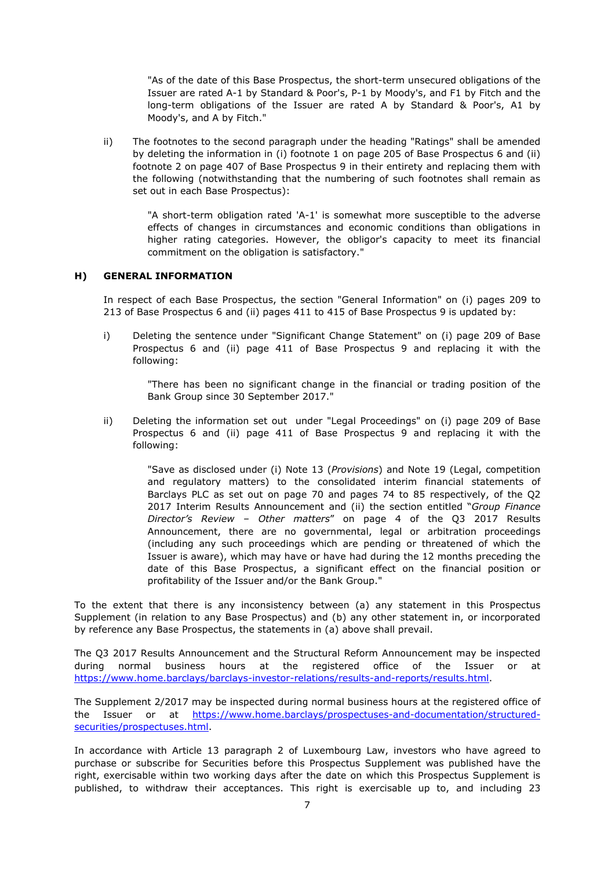"As of the date of this Base Prospectus, the short-term unsecured obligations of the Issuer are rated A-1 by Standard & Poor's, P-1 by Moody's, and F1 by Fitch and the long-term obligations of the Issuer are rated A by Standard & Poor's, A1 by Moody's, and A by Fitch."

ii) The footnotes to the second paragraph under the heading "Ratings" shall be amended by deleting the information in (i) footnote 1 on page 205 of Base Prospectus 6 and (ii) footnote 2 on page 407 of Base Prospectus 9 in their entirety and replacing them with the following (notwithstanding that the numbering of such footnotes shall remain as set out in each Base Prospectus):

> "A short-term obligation rated 'A-1' is somewhat more susceptible to the adverse effects of changes in circumstances and economic conditions than obligations in higher rating categories. However, the obligor's capacity to meet its financial commitment on the obligation is satisfactory."

# **H) GENERAL INFORMATION**

In respect of each Base Prospectus, the section "General Information" on (i) pages 209 to 213 of Base Prospectus 6 and (ii) pages 411 to 415 of Base Prospectus 9 is updated by:

i) Deleting the sentence under "Significant Change Statement" on (i) page 209 of Base Prospectus 6 and (ii) page 411 of Base Prospectus 9 and replacing it with the following:

> "There has been no significant change in the financial or trading position of the Bank Group since 30 September 2017."

ii) Deleting the information set out under "Legal Proceedings" on (i) page 209 of Base Prospectus 6 and (ii) page 411 of Base Prospectus 9 and replacing it with the following:

> "Save as disclosed under (i) Note 13 (*Provisions*) and Note 19 (Legal, competition and regulatory matters) to the consolidated interim financial statements of Barclays PLC as set out on page 70 and pages 74 to 85 respectively, of the Q2 2017 Interim Results Announcement and (ii) the section entitled "*Group Finance Director's Review – Other matters*" on page 4 of the Q3 2017 Results Announcement, there are no governmental, legal or arbitration proceedings (including any such proceedings which are pending or threatened of which the Issuer is aware), which may have or have had during the 12 months preceding the date of this Base Prospectus, a significant effect on the financial position or profitability of the Issuer and/or the Bank Group."

To the extent that there is any inconsistency between (a) any statement in this Prospectus Supplement (in relation to any Base Prospectus) and (b) any other statement in, or incorporated by reference any Base Prospectus, the statements in (a) above shall prevail.

The Q3 2017 Results Announcement and the Structural Reform Announcement may be inspected during normal business hours at the registered office of the Issuer or at https://www.home.barclays/barclays-investor-relations/results-and-reports/results.html.

The Supplement 2/2017 may be inspected during normal business hours at the registered office of the Issuer or at https://www.home.barclays/prospectuses-and-documentation/structuredsecurities/prospectuses.html.

In accordance with Article 13 paragraph 2 of Luxembourg Law, investors who have agreed to purchase or subscribe for Securities before this Prospectus Supplement was published have the right, exercisable within two working days after the date on which this Prospectus Supplement is published, to withdraw their acceptances. This right is exercisable up to, and including 23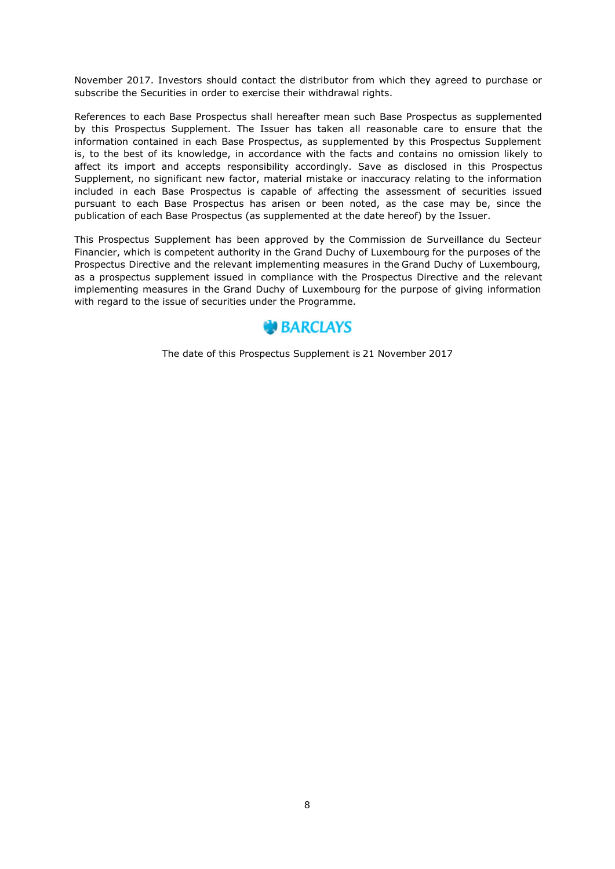November 2017. Investors should contact the distributor from which they agreed to purchase or subscribe the Securities in order to exercise their withdrawal rights.

References to each Base Prospectus shall hereafter mean such Base Prospectus as supplemented by this Prospectus Supplement. The Issuer has taken all reasonable care to ensure that the information contained in each Base Prospectus, as supplemented by this Prospectus Supplement is, to the best of its knowledge, in accordance with the facts and contains no omission likely to affect its import and accepts responsibility accordingly. Save as disclosed in this Prospectus Supplement, no significant new factor, material mistake or inaccuracy relating to the information included in each Base Prospectus is capable of affecting the assessment of securities issued pursuant to each Base Prospectus has arisen or been noted, as the case may be, since the publication of each Base Prospectus (as supplemented at the date hereof) by the Issuer.

This Prospectus Supplement has been approved by the Commission de Surveillance du Secteur Financier, which is competent authority in the Grand Duchy of Luxembourg for the purposes of the Prospectus Directive and the relevant implementing measures in the Grand Duchy of Luxembourg, as a prospectus supplement issued in compliance with the Prospectus Directive and the relevant implementing measures in the Grand Duchy of Luxembourg for the purpose of giving information with regard to the issue of securities under the Programme.



The date of this Prospectus Supplement is 21 November 2017